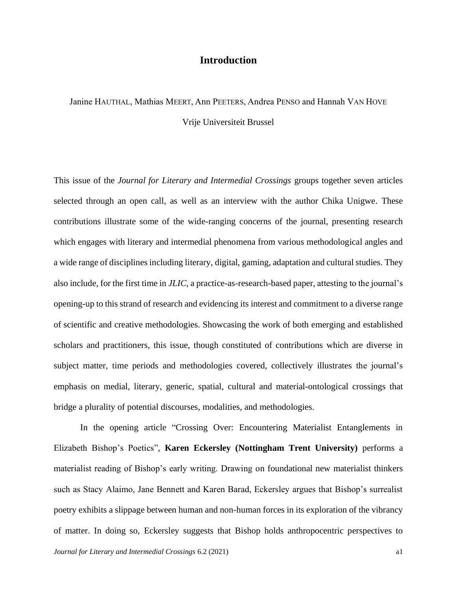## **Introduction**

## Janine HAUTHAL, Mathias MEERT, Ann PEETERS, Andrea PENSO and Hannah VAN HOVE Vrije Universiteit Brussel

This issue of the *Journal for Literary and Intermedial Crossings* groups together seven articles selected through an open call, as well as an interview with the author Chika Unigwe. These contributions illustrate some of the wide-ranging concerns of the journal, presenting research which engages with literary and intermedial phenomena from various methodological angles and a wide range of disciplines including literary, digital, gaming, adaptation and cultural studies. They also include, for the first time in *JLIC*, a practice-as-research-based paper, attesting to the journal's opening-up to this strand of research and evidencing its interest and commitment to a diverse range of scientific and creative methodologies. Showcasing the work of both emerging and established scholars and practitioners, this issue, though constituted of contributions which are diverse in subject matter, time periods and methodologies covered, collectively illustrates the journal's emphasis on medial, literary, generic, spatial, cultural and material-ontological crossings that bridge a plurality of potential discourses, modalities, and methodologies.

In the opening article "Crossing Over: Encountering Materialist Entanglements in Elizabeth Bishop's Poetics", **Karen Eckersley (Nottingham Trent University)** performs a materialist reading of Bishop's early writing. Drawing on foundational new materialist thinkers such as Stacy Alaimo, Jane Bennett and Karen Barad, Eckersley argues that Bishop's surrealist poetry exhibits a slippage between human and non-human forces in its exploration of the vibrancy of matter. In doing so, Eckersley suggests that Bishop holds anthropocentric perspectives to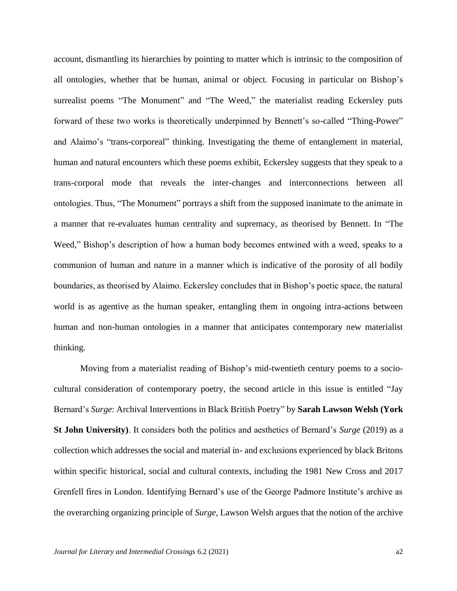account, dismantling its hierarchies by pointing to matter which is intrinsic to the composition of all ontologies, whether that be human, animal or object. Focusing in particular on Bishop's surrealist poems "The Monument" and "The Weed," the materialist reading Eckersley puts forward of these two works is theoretically underpinned by Bennett's so-called "Thing-Power" and Alaimo's "trans-corporeal" thinking. Investigating the theme of entanglement in material, human and natural encounters which these poems exhibit, Eckersley suggests that they speak to a trans-corporal mode that reveals the inter-changes and interconnections between all ontologies. Thus, "The Monument" portrays a shift from the supposed inanimate to the animate in a manner that re-evaluates human centrality and supremacy, as theorised by Bennett. In "The Weed," Bishop's description of how a human body becomes entwined with a weed, speaks to a communion of human and nature in a manner which is indicative of the porosity of all bodily boundaries, as theorised by Alaimo. Eckersley concludes that in Bishop's poetic space, the natural world is as agentive as the human speaker, entangling them in ongoing intra-actions between human and non-human ontologies in a manner that anticipates contemporary new materialist thinking.

Moving from a materialist reading of Bishop's mid-twentieth century poems to a sociocultural consideration of contemporary poetry, the second article in this issue is entitled "Jay Bernard's *Surge*: Archival Interventions in Black British Poetry" by **Sarah Lawson Welsh (York St John University)**. It considers both the politics and aesthetics of Bernard's *Surge* (2019) as a collection which addresses the social and material in- and exclusions experienced by black Britons within specific historical, social and cultural contexts, including the 1981 New Cross and 2017 Grenfell fires in London. Identifying Bernard's use of the George Padmore Institute's archive as the overarching organizing principle of *Surge*, Lawson Welsh argues that the notion of the archive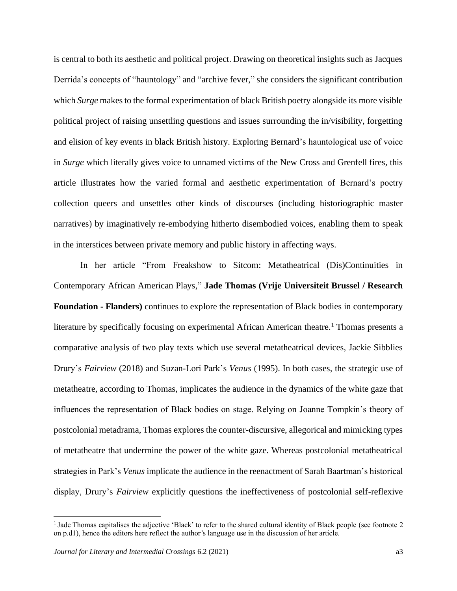is central to both its aesthetic and political project. Drawing on theoretical insights such as Jacques Derrida's concepts of "hauntology" and "archive fever," she considers the significant contribution which *Surge* makes to the formal experimentation of black British poetry alongside its more visible political project of raising unsettling questions and issues surrounding the in/visibility, forgetting and elision of key events in black British history. Exploring Bernard's hauntological use of voice in *Surge* which literally gives voice to unnamed victims of the New Cross and Grenfell fires, this article illustrates how the varied formal and aesthetic experimentation of Bernard's poetry collection queers and unsettles other kinds of discourses (including historiographic master narratives) by imaginatively re-embodying hitherto disembodied voices, enabling them to speak in the interstices between private memory and public history in affecting ways.

In her article "From Freakshow to Sitcom: Metatheatrical (Dis)Continuities in Contemporary African American Plays," **Jade Thomas (Vrije Universiteit Brussel / Research Foundation - Flanders)** continues to explore the representation of Black bodies in contemporary literature by specifically focusing on experimental African American theatre.<sup>1</sup> Thomas presents a comparative analysis of two play texts which use several metatheatrical devices, Jackie Sibblies Drury's *Fairview* (2018) and Suzan-Lori Park's *Venus* (1995). In both cases, the strategic use of metatheatre, according to Thomas, implicates the audience in the dynamics of the white gaze that influences the representation of Black bodies on stage. Relying on Joanne Tompkin's theory of postcolonial metadrama, Thomas explores the counter-discursive, allegorical and mimicking types of metatheatre that undermine the power of the white gaze. Whereas postcolonial metatheatrical strategies in Park's *Venus* implicate the audience in the reenactment of Sarah Baartman's historical display, Drury's *Fairview* explicitly questions the ineffectiveness of postcolonial self-reflexive

<sup>&</sup>lt;sup>1</sup> Jade Thomas capitalises the adjective 'Black' to refer to the shared cultural identity of Black people (see footnote 2 on p.d1), hence the editors here reflect the author's language use in the discussion of her article.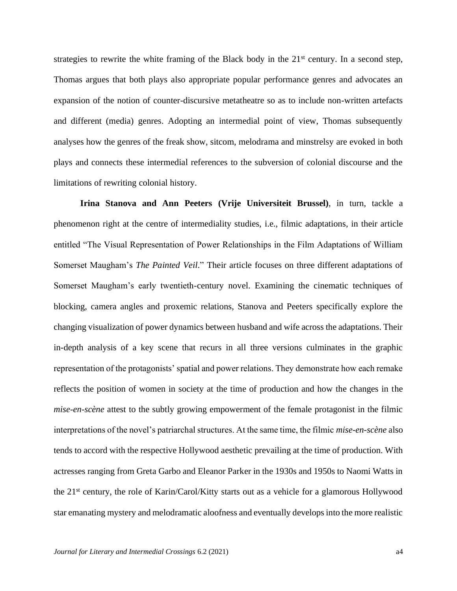strategies to rewrite the white framing of the Black body in the  $21<sup>st</sup>$  century. In a second step, Thomas argues that both plays also appropriate popular performance genres and advocates an expansion of the notion of counter-discursive metatheatre so as to include non-written artefacts and different (media) genres. Adopting an intermedial point of view, Thomas subsequently analyses how the genres of the freak show, sitcom, melodrama and minstrelsy are evoked in both plays and connects these intermedial references to the subversion of colonial discourse and the limitations of rewriting colonial history.

**Irina Stanova and Ann Peeters (Vrije Universiteit Brussel)**, in turn, tackle a phenomenon right at the centre of intermediality studies, i.e., filmic adaptations, in their article entitled "The Visual Representation of Power Relationships in the Film Adaptations of William Somerset Maugham's *The Painted Veil*." Their article focuses on three different adaptations of Somerset Maugham's early twentieth-century novel. Examining the cinematic techniques of blocking, camera angles and proxemic relations, Stanova and Peeters specifically explore the changing visualization of power dynamics between husband and wife across the adaptations. Their in-depth analysis of a key scene that recurs in all three versions culminates in the graphic representation of the protagonists' spatial and power relations. They demonstrate how each remake reflects the position of women in society at the time of production and how the changes in the *mise-en-scène* attest to the subtly growing empowerment of the female protagonist in the filmic interpretations of the novel's patriarchal structures. At the same time, the filmic *mise-en-scène* also tends to accord with the respective Hollywood aesthetic prevailing at the time of production. With actresses ranging from Greta Garbo and Eleanor Parker in the 1930s and 1950s to Naomi Watts in the 21st century, the role of Karin/Carol/Kitty starts out as a vehicle for a glamorous Hollywood star emanating mystery and melodramatic aloofness and eventually develops into the more realistic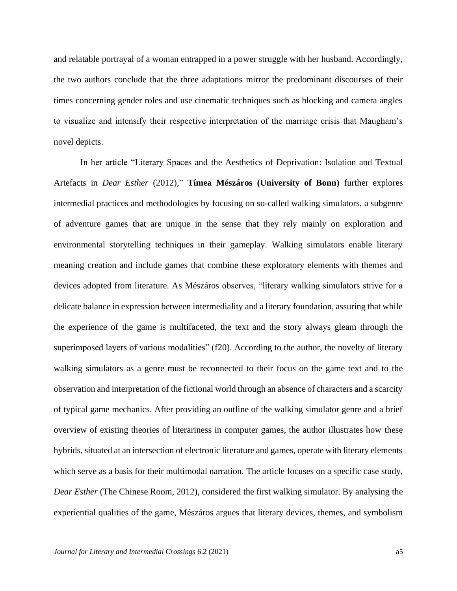and relatable portrayal of a woman entrapped in a power struggle with her husband. Accordingly, the two authors conclude that the three adaptations mirror the predominant discourses of their times concerning gender roles and use cinematic techniques such as blocking and camera angles to visualize and intensify their respective interpretation of the marriage crisis that Maugham's novel depicts.

In her article "Literary Spaces and the Aesthetics of Deprivation: Isolation and Textual Artefacts in *Dear Esther* (2012)," **Tímea Mészáros (University of Bonn)** further explores intermedial practices and methodologies by focusing on so-called walking simulators, a subgenre of adventure games that are unique in the sense that they rely mainly on exploration and environmental storytelling techniques in their gameplay. Walking simulators enable literary meaning creation and include games that combine these exploratory elements with themes and devices adopted from literature. As Mészáros observes, "literary walking simulators strive for a delicate balance in expression between intermediality and a literary foundation, assuring that while the experience of the game is multifaceted, the text and the story always gleam through the superimposed layers of various modalities" (f20). According to the author, the novelty of literary walking simulators as a genre must be reconnected to their focus on the game text and to the observation and interpretation of the fictional world through an absence of characters and a scarcity of typical game mechanics. After providing an outline of the walking simulator genre and a brief overview of existing theories of literariness in computer games, the author illustrates how these hybrids, situated at an intersection of electronic literature and games, operate with literary elements which serve as a basis for their multimodal narration. The article focuses on a specific case study, *Dear Esther* (The Chinese Room, 2012), considered the first walking simulator. By analysing the experiential qualities of the game, Mészáros argues that literary devices, themes, and symbolism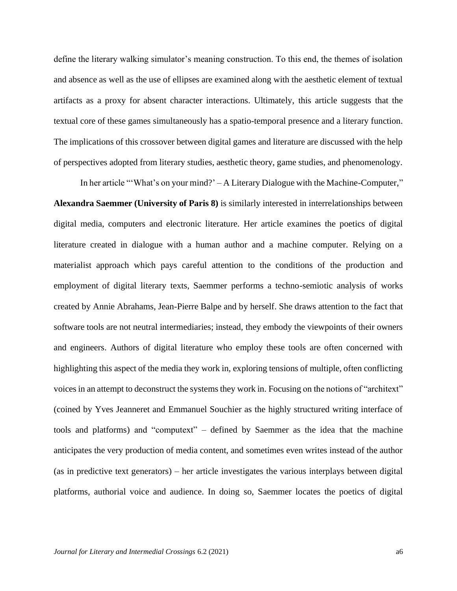define the literary walking simulator's meaning construction. To this end, the themes of isolation and absence as well as the use of ellipses are examined along with the aesthetic element of textual artifacts as a proxy for absent character interactions. Ultimately, this article suggests that the textual core of these games simultaneously has a spatio-temporal presence and a literary function. The implications of this crossover between digital games and literature are discussed with the help of perspectives adopted from literary studies, aesthetic theory, game studies, and phenomenology.

In her article "'What's on your mind?' – A Literary Dialogue with the Machine-Computer," **Alexandra Saemmer (University of Paris 8)** is similarly interested in interrelationships between digital media, computers and electronic literature. Her article examines the poetics of digital literature created in dialogue with a human author and a machine computer. Relying on a materialist approach which pays careful attention to the conditions of the production and employment of digital literary texts, Saemmer performs a techno-semiotic analysis of works created by Annie Abrahams, Jean-Pierre Balpe and by herself. She draws attention to the fact that software tools are not neutral intermediaries; instead, they embody the viewpoints of their owners and engineers. Authors of digital literature who employ these tools are often concerned with highlighting this aspect of the media they work in, exploring tensions of multiple, often conflicting voices in an attempt to deconstruct the systems they work in. Focusing on the notions of "architext" (coined by Yves Jeanneret and Emmanuel Souchier as the highly structured writing interface of tools and platforms) and "computext" – defined by Saemmer as the idea that the machine anticipates the very production of media content, and sometimes even writes instead of the author (as in predictive text generators) – her article investigates the various interplays between digital platforms, authorial voice and audience. In doing so, Saemmer locates the poetics of digital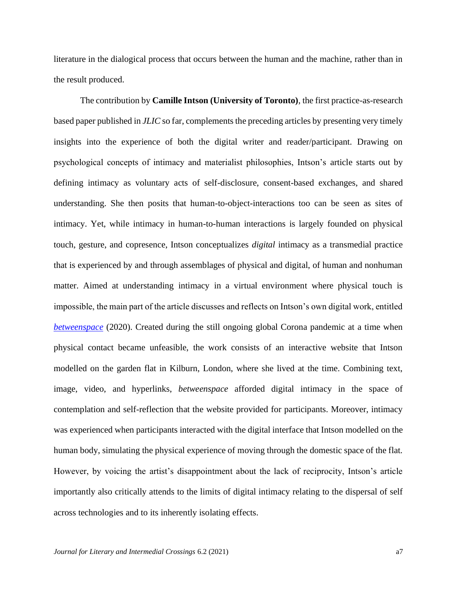literature in the dialogical process that occurs between the human and the machine, rather than in the result produced.

The contribution by **Camille Intson (University of Toronto)**, the first practice-as-research based paper published in *JLIC* so far, complements the preceding articles by presenting very timely insights into the experience of both the digital writer and reader/participant. Drawing on psychological concepts of intimacy and materialist philosophies, Intson's article starts out by defining intimacy as voluntary acts of self-disclosure, consent-based exchanges, and shared understanding. She then posits that human-to-object-interactions too can be seen as sites of intimacy. Yet, while intimacy in human-to-human interactions is largely founded on physical touch, gesture, and copresence, Intson conceptualizes *digital* intimacy as a transmedial practice that is experienced by and through assemblages of physical and digital, of human and nonhuman matter. Aimed at understanding intimacy in a virtual environment where physical touch is impossible, the main part of the article discusses and reflects on Intson's own digital work, entitled *[betweenspace](http://betweenspace2020.co.uk/)* (2020). Created during the still ongoing global Corona pandemic at a time when physical contact became unfeasible, the work consists of an interactive website that Intson modelled on the garden flat in Kilburn, London, where she lived at the time. Combining text, image, video, and hyperlinks, *betweenspace* afforded digital intimacy in the space of contemplation and self-reflection that the website provided for participants. Moreover, intimacy was experienced when participants interacted with the digital interface that Intson modelled on the human body, simulating the physical experience of moving through the domestic space of the flat. However, by voicing the artist's disappointment about the lack of reciprocity, Intson's article importantly also critically attends to the limits of digital intimacy relating to the dispersal of self across technologies and to its inherently isolating effects.